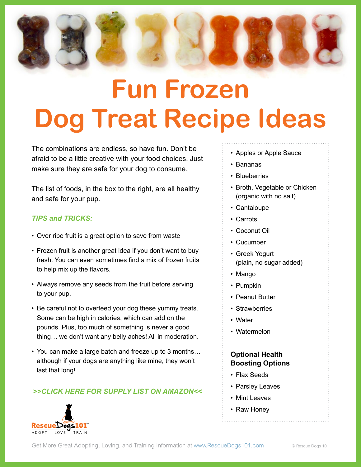

# **Fun Frozen Dog Treat Recipe Ideas**

The combinations are endless, so have fun. Don't be afraid to be a little creative with your food choices. Just make sure they are safe for your dog to consume.

The list of foods, in the box to the right, are all healthy and safe for your pup.

#### *TIPS and TRICKS:*

- Over ripe fruit is a great option to save from waste
- Frozen fruit is another great idea if you don't want to buy fresh. You can even sometimes find a mix of frozen fruits to help mix up the flavors.
- Always remove any seeds from the fruit before serving to your pup.
- Be careful not to overfeed your dog these yummy treats. Some can be high in calories, which can add on the pounds. Plus, too much of something is never a good thing… we don't want any belly aches! All in moderation.
- You can make a large batch and freeze up to 3 months… although if your dogs are anything like mine, they won't last that long!

#### *[>>CLICK HERE FOR SUPPLY LIST ON AMAZON<<](https://www.amazon.com/ideas/amzn1.account.)*



- Apples or Apple Sauce
- Bananas
- Blueberries
- Broth, Vegetable or Chicken (organic with no salt)
- Cantaloupe
- Carrots
- Coconut Oil
- Cucumber
- Greek Yogurt (plain, no sugar added)
- Mango
- Pumpkin
- Peanut Butter
- Strawberries
- Water
- Watermelon

#### **Optional Health Boosting Options**

- Flax Seeds
- Parsley Leaves
- Mint Leaves
- Raw Honey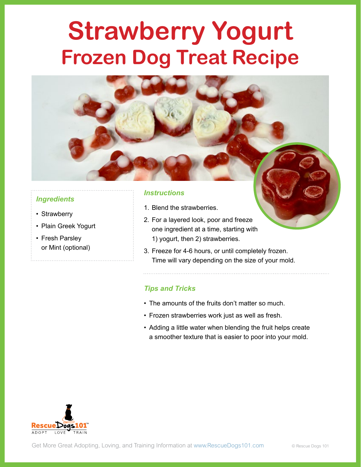## **Strawberry Yogurt Frozen Dog Treat Recipe**

#### *Ingredients*

- Strawberry
- Plain Greek Yogurt
- Fresh Parsley or Mint (optional)

#### *Instructions*

- 1. Blend the strawberries.
- 2. For a layered look, poor and freeze one ingredient at a time, starting with 1) yogurt, then 2) strawberries.
- 3. Freeze for 4-6 hours, or until completely frozen. Time will vary depending on the size of your mold.

- The amounts of the fruits don't matter so much.
- Frozen strawberries work just as well as fresh.
- Adding a little water when blending the fruit helps create a smoother texture that is easier to poor into your mold.

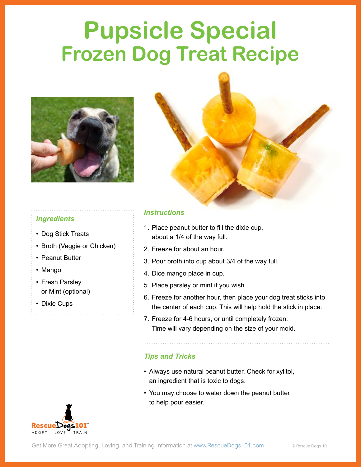### **Pupsicle Special Frozen Dog Treat Recipe**





- Dog Stick Treats
- Broth (Veggie or Chicken)
- Peanut Butter
- Mango
- Fresh Parsley or Mint (optional)
- Dixie Cups

#### *Instructions*

- 1. Place peanut butter to fill the dixie cup, about a 1/4 of the way full.
- 2. Freeze for about an hour.
- 3. Pour broth into cup about 3/4 of the way full.
- 4. Dice mango place in cup.
- 5. Place parsley or mint if you wish.
- 6. Freeze for another hour, then place your dog treat sticks into the center of each cup. This will help hold the stick in place.
- 7. Freeze for 4-6 hours, or until completely frozen. Time will vary depending on the size of your mold.

- Always use natural peanut butter. Check for xylitol, an ingredient that is toxic to dogs.
- You may choose to water down the peanut butter to help pour easier.

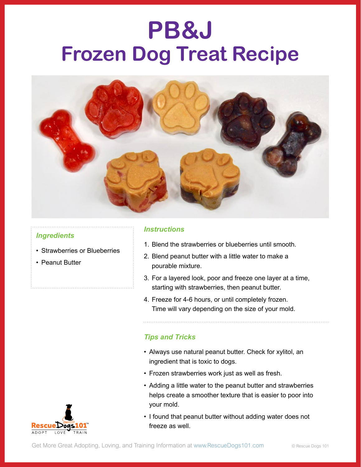### **PB&J Frozen Dog Treat Recipe**



#### *Ingredients*

- Strawberries or Blueberries
- Peanut Butter

#### *Instructions*

- 1. Blend the strawberries or blueberries until smooth.
- 2. Blend peanut butter with a little water to make a pourable mixture.
- 3. For a layered look, poor and freeze one layer at a time, starting with strawberries, then peanut butter.
- 4. Freeze for 4-6 hours, or until completely frozen. Time will vary depending on the size of your mold.

- Always use natural peanut butter. Check for xylitol, an ingredient that is toxic to dogs.
- Frozen strawberries work just as well as fresh.
- Adding a little water to the peanut butter and strawberries helps create a smoother texture that is easier to poor into your mold.
- I found that peanut butter without adding water does not freeze as well.

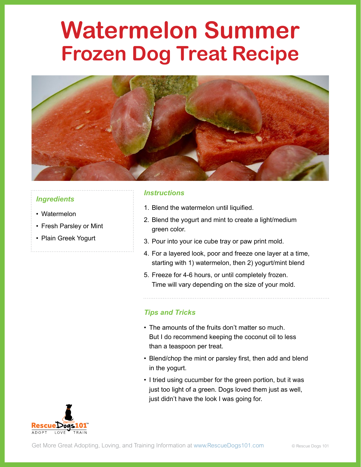### **Watermelon Summer Frozen Dog Treat Recipe**



#### *Ingredients*

- Watermelon
- Fresh Parsley or Mint
- Plain Greek Yogurt

#### *Instructions*

- 1. Blend the watermelon until liquified.
- 2. Blend the yogurt and mint to create a light/medium green color.
- 3. Pour into your ice cube tray or paw print mold.
- 4. For a layered look, poor and freeze one layer at a time, starting with 1) watermelon, then 2) yogurt/mint blend
- 5. Freeze for 4-6 hours, or until completely frozen. Time will vary depending on the size of your mold.

- The amounts of the fruits don't matter so much. But I do recommend keeping the coconut oil to less than a teaspoon per treat.
- Blend/chop the mint or parsley first, then add and blend in the yogurt.
- I tried using cucumber for the green portion, but it was just too light of a green. Dogs loved them just as well, just didn't have the look I was going for.

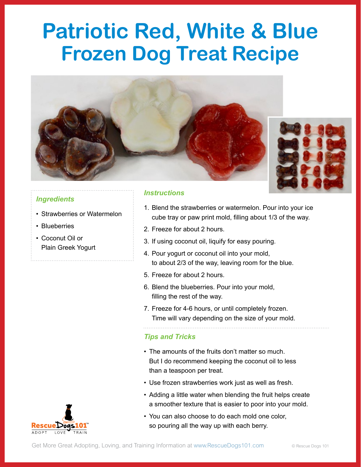### **Patriotic Red, White & Blue Frozen Dog Treat Recipe**





#### *Ingredients*

- Strawberries or Watermelon
- Blueberries
- Coconut Oil or Plain Greek Yogurt

#### *Instructions*

- 1. Blend the strawberries or watermelon. Pour into your ice cube tray or paw print mold, filling about 1/3 of the way.
- 2. Freeze for about 2 hours.
- 3. If using coconut oil, liquify for easy pouring.
- 4. Pour yogurt or coconut oil into your mold, to about 2/3 of the way, leaving room for the blue.
- 5. Freeze for about 2 hours.
- 6. Blend the blueberries. Pour into your mold, filling the rest of the way.
- 7. Freeze for 4-6 hours, or until completely frozen. Time will vary depending on the size of your mold.

- The amounts of the fruits don't matter so much. But I do recommend keeping the coconut oil to less than a teaspoon per treat.
- Use frozen strawberries work just as well as fresh.
- Adding a little water when blending the fruit helps create a smoother texture that is easier to poor into your mold.
- You can also choose to do each mold one color, so pouring all the way up with each berry.

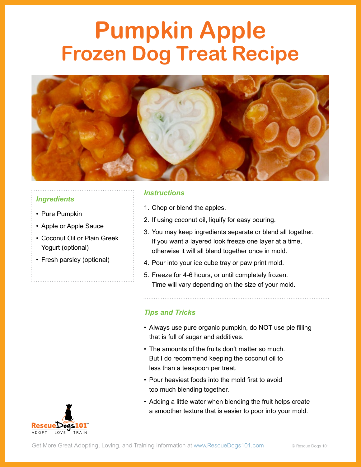### **Pumpkin Apple Frozen Dog Treat Recipe**



#### *Ingredients*

- Pure Pumpkin
- Apple or Apple Sauce
- Coconut Oil or Plain Greek Yogurt (optional)
- Fresh parsley (optional)

#### *Instructions*

- 1. Chop or blend the apples.
- 2. If using coconut oil, liquify for easy pouring.
- 3. You may keep ingredients separate or blend all together. If you want a layered look freeze one layer at a time, otherwise it will all blend together once in mold.
- 4. Pour into your ice cube tray or paw print mold.
- 5. Freeze for 4-6 hours, or until completely frozen. Time will vary depending on the size of your mold.

- Always use pure organic pumpkin, do NOT use pie filling that is full of sugar and additives.
- The amounts of the fruits don't matter so much. But I do recommend keeping the coconut oil to less than a teaspoon per treat.
- Pour heaviest foods into the mold first to avoid too much blending together.
- Adding a little water when blending the fruit helps create a smoother texture that is easier to poor into your mold.